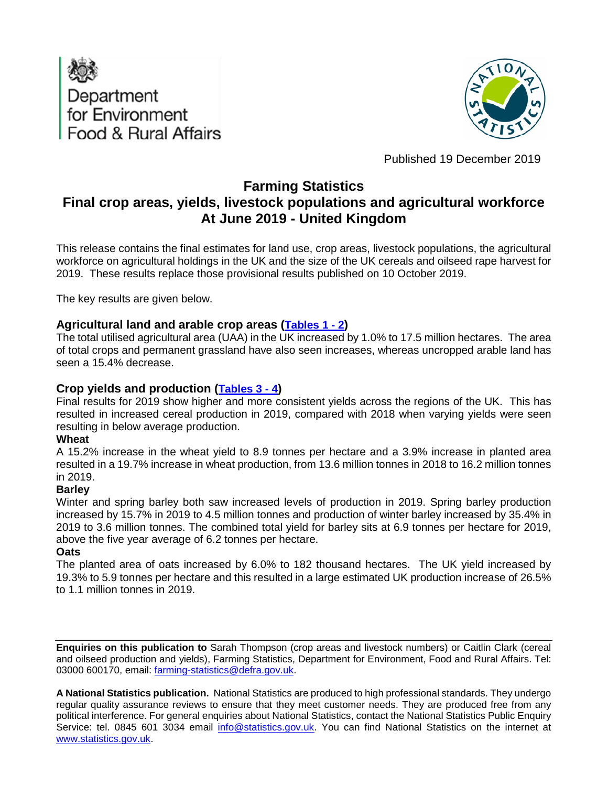



Published 19 December 2019

## **Farming Statistics**

# **Final crop areas, yields, livestock populations and agricultural workforce At June 2019 - United Kingdom**

This release contains the final estimates for land use, crop areas, livestock populations, the agricultural workforce on agricultural holdings in the UK and the size of the UK cereals and oilseed rape harvest for 2019. These results replace those provisional results published on 10 October 2019.

The key results are given below.

### **Agricultural land and arable crop areas [\(Tables](#page-8-0) 1 - 2)**

The total utilised agricultural area (UAA) in the UK increased by 1.0% to 17.5 million hectares. The area of total crops and permanent grassland have also seen increases, whereas uncropped arable land has seen a 15.4% decrease.

### **Crop yields and production [\(Tables 3 -](#page-10-0) 4)**

Final results for 2019 show higher and more consistent yields across the regions of the UK. This has resulted in increased cereal production in 2019, compared with 2018 when varying yields were seen resulting in below average production.

#### **Wheat**

A 15.2% increase in the wheat yield to 8.9 tonnes per hectare and a 3.9% increase in planted area resulted in a 19.7% increase in wheat production, from 13.6 million tonnes in 2018 to 16.2 million tonnes in 2019.

#### **Barley**

Winter and spring barley both saw increased levels of production in 2019. Spring barley production increased by 15.7% in 2019 to 4.5 million tonnes and production of winter barley increased by 35.4% in 2019 to 3.6 million tonnes. The combined total yield for barley sits at 6.9 tonnes per hectare for 2019, above the five year average of 6.2 tonnes per hectare.

#### **Oats**

The planted area of oats increased by 6.0% to 182 thousand hectares. The UK yield increased by 19.3% to 5.9 tonnes per hectare and this resulted in a large estimated UK production increase of 26.5% to 1.1 million tonnes in 2019.

**Enquiries on this publication to** Sarah Thompson (crop areas and livestock numbers) or Caitlin Clark (cereal and oilseed production and yields), Farming Statistics, Department for Environment, Food and Rural Affairs. Tel: 03000 600170, email: [farming-statistics@defra.gov.uk.](mailto:farming-statistics@defra.gov.uk)

**A National Statistics publication.** National Statistics are produced to high professional standards. They undergo regular quality assurance reviews to ensure that they meet customer needs. They are produced free from any political interference. For general enquiries about National Statistics, contact the National Statistics Public Enquiry Service: tel. 0845 601 3034 email [info@statistics.gov.uk.](mailto:info@statistics.gov.uk) You can find National Statistics on the internet at [www.statistics.gov.uk.](http://www.statistics.gov.uk/hub/index.html)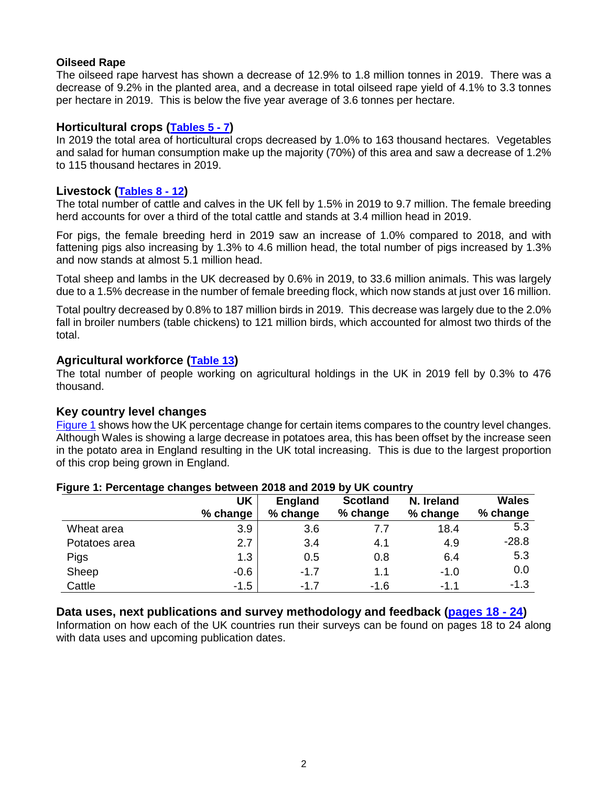#### **Oilseed Rape**

The oilseed rape harvest has shown a decrease of 12.9% to 1.8 million tonnes in 2019. There was a decrease of 9.2% in the planted area, and a decrease in total oilseed rape yield of 4.1% to 3.3 tonnes per hectare in 2019. This is below the five year average of 3.6 tonnes per hectare.

### **Horticultural crops [\(Tables 5](#page-11-0) - 7)**

In 2019 the total area of horticultural crops decreased by 1.0% to 163 thousand hectares. Vegetables and salad for human consumption make up the majority (70%) of this area and saw a decrease of 1.2% to 115 thousand hectares in 2019.

#### **Livestock [\(Tables](#page-13-0) 8 - 12)**

The total number of cattle and calves in the UK fell by 1.5% in 2019 to 9.7 million. The female breeding herd accounts for over a third of the total cattle and stands at 3.4 million head in 2019.

For pigs, the female breeding herd in 2019 saw an increase of 1.0% compared to 2018, and with fattening pigs also increasing by 1.3% to 4.6 million head, the total number of pigs increased by 1.3% and now stands at almost 5.1 million head.

Total sheep and lambs in the UK decreased by 0.6% in 2019, to 33.6 million animals. This was largely due to a 1.5% decrease in the number of female breeding flock, which now stands at just over 16 million.

Total poultry decreased by 0.8% to 187 million birds in 2019. This decrease was largely due to the 2.0% fall in broiler numbers (table chickens) to 121 million birds, which accounted for almost two thirds of the total.

#### **Agricultural workforce [\(Table 13\)](#page-16-0)**

The total number of people working on agricultural holdings in the UK in 2019 fell by 0.3% to 476 thousand.

#### **Key country level changes**

[Figure 1](#page-1-0) shows how the UK percentage change for certain items compares to the country level changes. Although Wales is showing a large decrease in potatoes area, this has been offset by the increase seen in the potato area in England resulting in the UK total increasing. This is due to the largest proportion of this crop being grown in England.

|               | UK<br>% change | <b>England</b><br>% change | <b>Scotland</b><br>% change | N. Ireland<br>% change | <b>Wales</b><br>% change |
|---------------|----------------|----------------------------|-----------------------------|------------------------|--------------------------|
| Wheat area    | 3.9            | 3.6                        | 7.7                         | 18.4                   | 5.3                      |
| Potatoes area | 2.7            | 3.4                        | 4.1                         | 4.9                    | $-28.8$                  |
| Pigs          | 1.3            | 0.5                        | 0.8                         | 6.4                    | 5.3                      |
| Sheep         | $-0.6$         | $-1.7$                     | 1.1                         | $-1.0$                 | 0.0                      |
| Cattle        | $-1.5$         | $-1.7$                     | $-1.6$                      | $-1.1$                 | $-1.3$                   |

#### <span id="page-1-0"></span>**Figure 1: Percentage changes between 2018 and 2019 by UK country**

#### **Data uses, next publications and survey methodology and feedback [\(pages 18 -](#page-16-1) 24)**

Information on how each of the UK countries run their surveys can be found on pages 18 to 24 along with data uses and upcoming publication dates.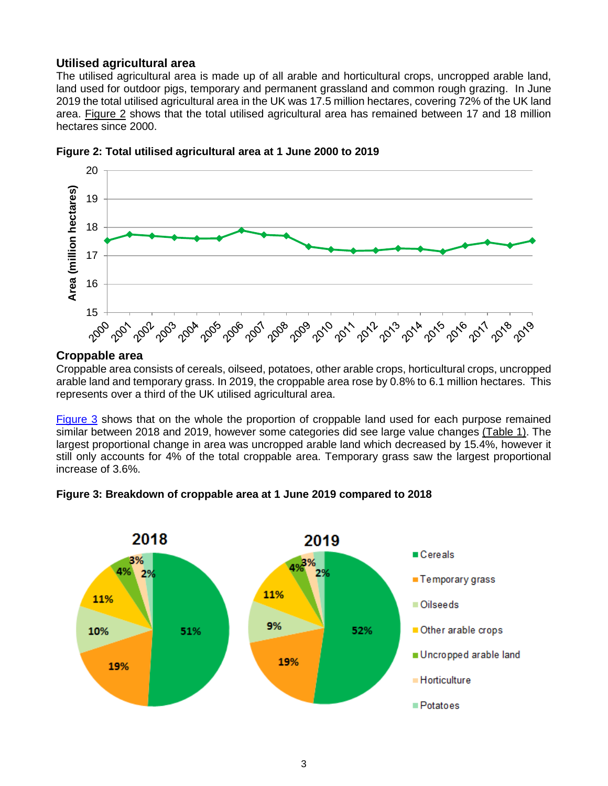### **Utilised agricultural area**

The utilised agricultural area is made up of all arable and horticultural crops, uncropped arable land, land used for outdoor pigs, temporary and permanent grassland and common rough grazing. In June 2019 the total utilised agricultural area in the UK was 17.5 million hectares, covering 72% of the UK land area. [Figure 2](#page-2-0) shows that the total utilised agricultural area has remained between 17 and 18 million hectares since 2000.



<span id="page-2-0"></span>**Figure 2: Total utilised agricultural area at 1 June 2000 to 2019**

#### **Croppable area**

Croppable area consists of cereals, oilseed, potatoes, other arable crops, horticultural crops, uncropped arable land and temporary grass. In 2019, the croppable area rose by 0.8% to 6.1 million hectares. This represents over a third of the UK utilised agricultural area.

[Figure 3](#page-2-1) shows that on the whole the proportion of croppable land used for each purpose remained similar between 2018 and 2019, however some categories did see large value changes [\(Table 1\)](#page-8-0). The largest proportional change in area was uncropped arable land which decreased by 15.4%, however it still only accounts for 4% of the total croppable area. Temporary grass saw the largest proportional increase of 3.6%.

<span id="page-2-1"></span>

**Figure 3: Breakdown of croppable area at 1 June 2019 compared to 2018**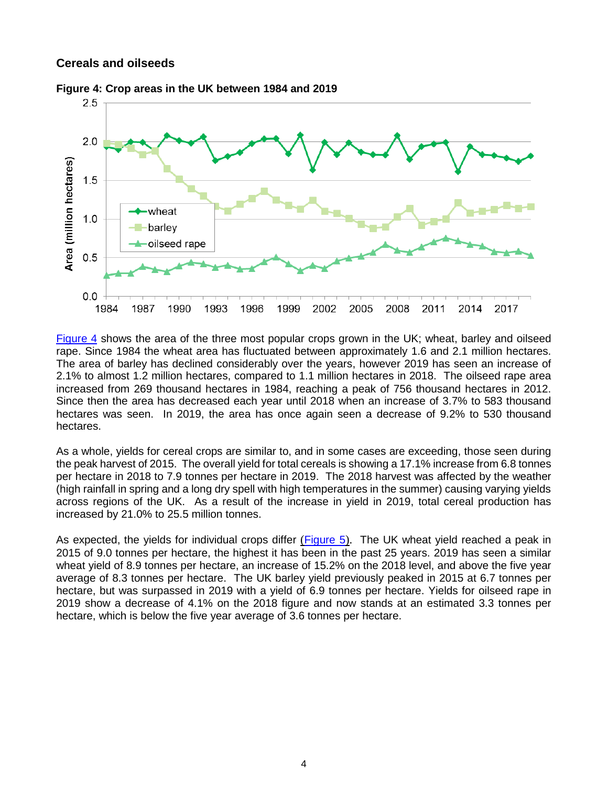#### **Cereals and oilseeds**



<span id="page-3-0"></span>**Figure 4: Crop areas in the UK between 1984 and 2019**

[Figure 4](#page-3-0) shows the area of the three most popular crops grown in the UK; wheat, barley and oilseed rape. Since 1984 the wheat area has fluctuated between approximately 1.6 and 2.1 million hectares. The area of barley has declined considerably over the years, however 2019 has seen an increase of 2.1% to almost 1.2 million hectares, compared to 1.1 million hectares in 2018. The oilseed rape area increased from 269 thousand hectares in 1984, reaching a peak of 756 thousand hectares in 2012. Since then the area has decreased each year until 2018 when an increase of 3.7% to 583 thousand hectares was seen. In 2019, the area has once again seen a decrease of 9.2% to 530 thousand hectares.

As a whole, yields for cereal crops are similar to, and in some cases are exceeding, those seen during the peak harvest of 2015. The overall yield for total cereals is showing a 17.1% increase from 6.8 tonnes per hectare in 2018 to 7.9 tonnes per hectare in 2019. The 2018 harvest was affected by the weather (high rainfall in spring and a long dry spell with high temperatures in the summer) causing varying yields across regions of the UK. As a result of the increase in yield in 2019, total cereal production has increased by 21.0% to 25.5 million tonnes.

As expected, the yields for individual crops differ ([Figure 5](#page-4-0)). The UK wheat yield reached a peak in 2015 of 9.0 tonnes per hectare, the highest it has been in the past 25 years. 2019 has seen a similar wheat yield of 8.9 tonnes per hectare, an increase of 15.2% on the 2018 level, and above the five year average of 8.3 tonnes per hectare. The UK barley yield previously peaked in 2015 at 6.7 tonnes per hectare, but was surpassed in 2019 with a yield of 6.9 tonnes per hectare. Yields for oilseed rape in 2019 show a decrease of 4.1% on the 2018 figure and now stands at an estimated 3.3 tonnes per hectare, which is below the five year average of 3.6 tonnes per hectare.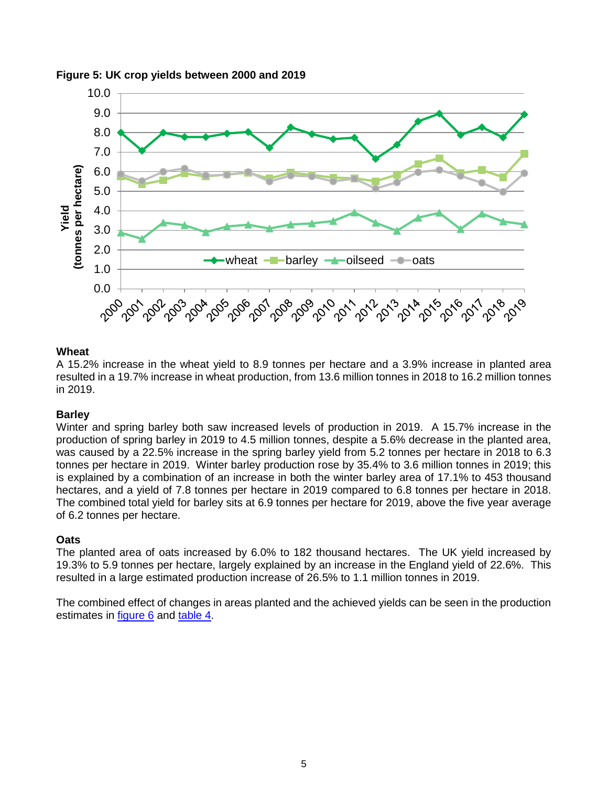

#### <span id="page-4-0"></span>**Figure 5: UK crop yields between 2000 and 2019**

#### **Wheat**

A 15.2% increase in the wheat yield to 8.9 tonnes per hectare and a 3.9% increase in planted area resulted in a 19.7% increase in wheat production, from 13.6 million tonnes in 2018 to 16.2 million tonnes in 2019.

#### **Barley**

Winter and spring barley both saw increased levels of production in 2019. A 15.7% increase in the production of spring barley in 2019 to 4.5 million tonnes, despite a 5.6% decrease in the planted area, was caused by a 22.5% increase in the spring barley yield from 5.2 tonnes per hectare in 2018 to 6.3 tonnes per hectare in 2019. Winter barley production rose by 35.4% to 3.6 million tonnes in 2019; this is explained by a combination of an increase in both the winter barley area of 17.1% to 453 thousand hectares, and a yield of 7.8 tonnes per hectare in 2019 compared to 6.8 tonnes per hectare in 2018. The combined total yield for barley sits at 6.9 tonnes per hectare for 2019, above the five year average of 6.2 tonnes per hectare.

#### **Oats**

The planted area of oats increased by 6.0% to 182 thousand hectares. The UK yield increased by 19.3% to 5.9 tonnes per hectare, largely explained by an increase in the England yield of 22.6%. This resulted in a large estimated production increase of 26.5% to 1.1 million tonnes in 2019.

The combined effect of changes in areas planted and the achieved yields can be seen in the production estimates in [figure 6](#page-5-0) and [table 4.](#page-10-1)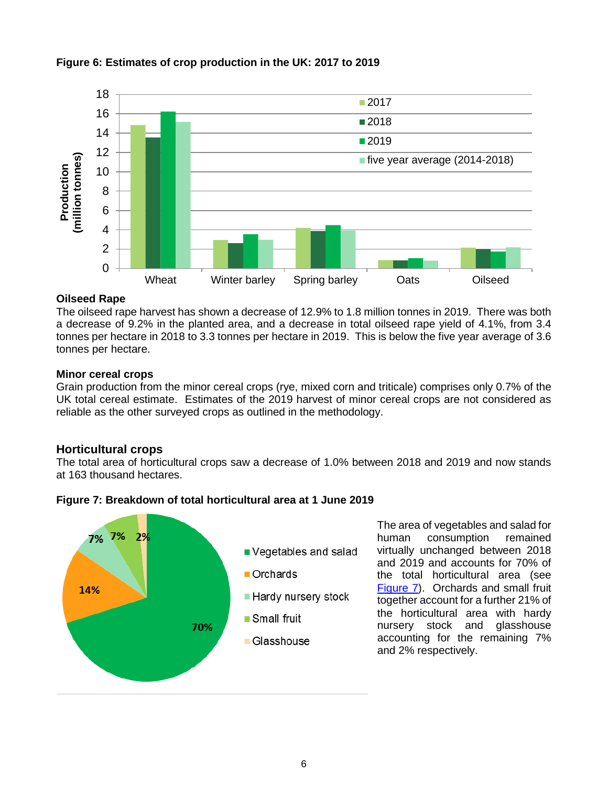

#### <span id="page-5-0"></span>**Figure 6: Estimates of crop production in the UK: 2017 to 2019**

#### **Oilseed Rape**

The oilseed rape harvest has shown a decrease of 12.9% to 1.8 million tonnes in 2019. There was both a decrease of 9.2% in the planted area, and a decrease in total oilseed rape yield of 4.1%, from 3.4 tonnes per hectare in 2018 to 3.3 tonnes per hectare in 2019. This is below the five year average of 3.6 tonnes per hectare.

#### **Minor cereal crops**

Grain production from the minor cereal crops (rye, mixed corn and triticale) comprises only 0.7% of the UK total cereal estimate. Estimates of the 2019 harvest of minor cereal crops are not considered as reliable as the other surveyed crops as outlined in the methodology.

#### **Horticultural crops**

The total area of horticultural crops saw a decrease of 1.0% between 2018 and 2019 and now stands at 163 thousand hectares.

<span id="page-5-1"></span>



The area of vegetables and salad for human consumption remained virtually unchanged between 2018 and 2019 and accounts for 70% of the total horticultural area (see [Figure 7\)](#page-5-1). Orchards and small fruit together account for a further 21% of the horticultural area with hardy nursery stock and glasshouse accounting for the remaining 7% and 2% respectively.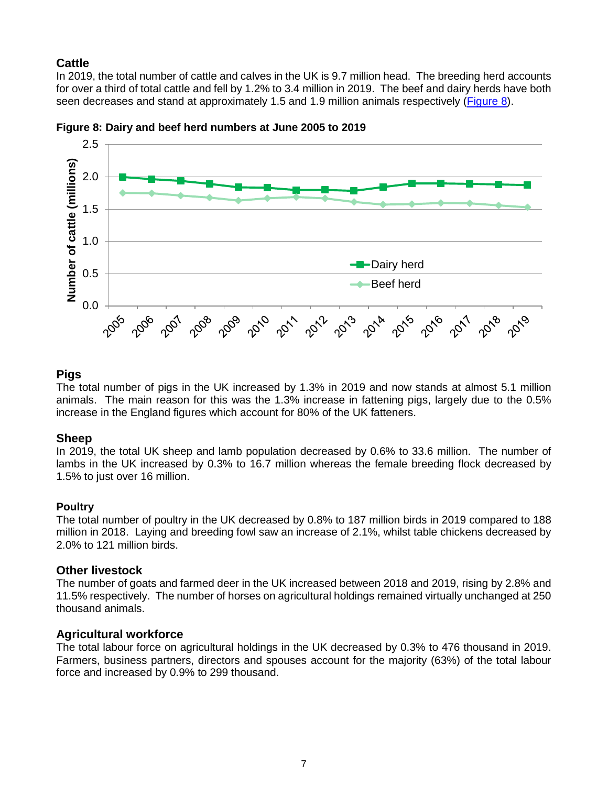## **Cattle**

In 2019, the total number of cattle and calves in the UK is 9.7 million head. The breeding herd accounts for over a third of total cattle and fell by 1.2% to 3.4 million in 2019. The beef and dairy herds have both seen decreases and stand at approximately 1.5 and 1.9 million animals respectively (Figure 8).





## **Pigs**

The total number of pigs in the UK increased by 1.3% in 2019 and now stands at almost 5.1 million animals. The main reason for this was the 1.3% increase in fattening pigs, largely due to the 0.5% increase in the England figures which account for 80% of the UK fatteners.

## **Sheep**

In 2019, the total UK sheep and lamb population decreased by 0.6% to 33.6 million. The number of lambs in the UK increased by 0.3% to 16.7 million whereas the female breeding flock decreased by 1.5% to just over 16 million.

## **Poultry**

The total number of poultry in the UK decreased by 0.8% to 187 million birds in 2019 compared to 188 million in 2018. Laying and breeding fowl saw an increase of 2.1%, whilst table chickens decreased by 2.0% to 121 million birds.

## **Other livestock**

The number of goats and farmed deer in the UK increased between 2018 and 2019, rising by 2.8% and 11.5% respectively. The number of horses on agricultural holdings remained virtually unchanged at 250 thousand animals.

## **Agricultural workforce**

The total labour force on agricultural holdings in the UK decreased by 0.3% to 476 thousand in 2019. Farmers, business partners, directors and spouses account for the majority (63%) of the total labour force and increased by 0.9% to 299 thousand.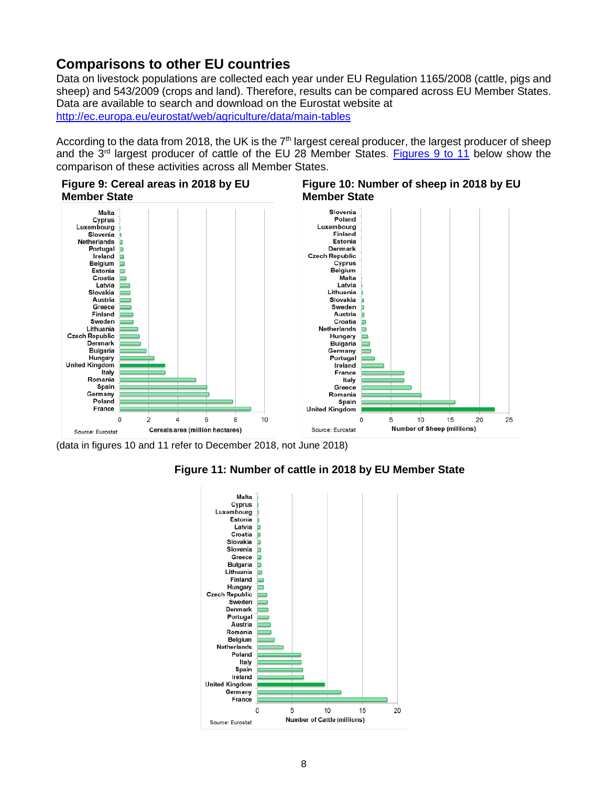## **Comparisons to other EU countries**

Data on livestock populations are collected each year under EU Regulation 1165/2008 (cattle, pigs and sheep) and 543/2009 (crops and land). Therefore, results can be compared across EU Member States. Data are available to search and download on the Eurostat website at <http://ec.europa.eu/eurostat/web/agriculture/data/main-tables>

According to the data from 2018, the UK is the  $7<sup>th</sup>$  largest cereal producer, the largest producer of sheep and the  $3^{rd}$  largest producer of cattle of the EU 28 Member States. [Figures 9](#page-7-0) to 11 below show the comparison of these activities across all Member States.

<span id="page-7-0"></span>





10

15

20

25

(data in figures 10 and 11 refer to December 2018, not June 2018)



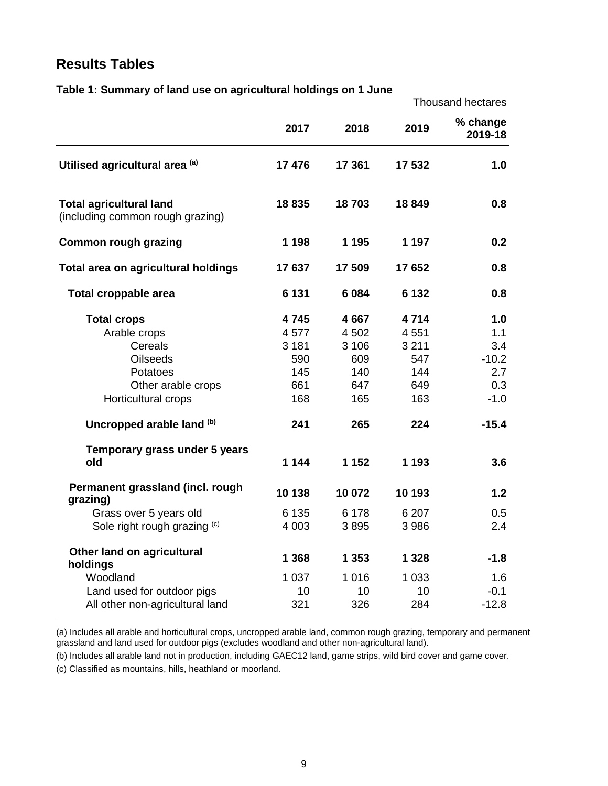## **Results Tables**

|                                                                                                                                                                                                | 1. January 61 iana aso on agricanaran noiamgs<br>Thousand hectares    |                                                                            |                                                                       |                                                                        |  |  |
|------------------------------------------------------------------------------------------------------------------------------------------------------------------------------------------------|-----------------------------------------------------------------------|----------------------------------------------------------------------------|-----------------------------------------------------------------------|------------------------------------------------------------------------|--|--|
|                                                                                                                                                                                                | 2017                                                                  | 2018                                                                       | 2019                                                                  | % change<br>2019-18                                                    |  |  |
| Utilised agricultural area (a)                                                                                                                                                                 | 17 476                                                                | 17 361                                                                     | 17 532                                                                | 1.0                                                                    |  |  |
| <b>Total agricultural land</b><br>(including common rough grazing)                                                                                                                             | 18835                                                                 | 18703                                                                      | 18849                                                                 | 0.8                                                                    |  |  |
| <b>Common rough grazing</b>                                                                                                                                                                    | 1 1 9 8                                                               | 1 1 9 5                                                                    | 1 1 9 7                                                               | 0.2                                                                    |  |  |
| Total area on agricultural holdings                                                                                                                                                            | 17637                                                                 | 17 509                                                                     | 17652                                                                 | 0.8                                                                    |  |  |
| Total croppable area                                                                                                                                                                           | 6 1 3 1                                                               | 6 0 8 4                                                                    | 6 1 3 2                                                               | 0.8                                                                    |  |  |
| <b>Total crops</b><br>Arable crops<br>Cereals<br><b>Oilseeds</b><br>Potatoes<br>Other arable crops<br>Horticultural crops<br>Uncropped arable land (b)<br>Temporary grass under 5 years<br>old | 4745<br>4577<br>3 1 8 1<br>590<br>145<br>661<br>168<br>241<br>1 1 4 4 | 4 6 67<br>4 5 0 2<br>3 1 0 6<br>609<br>140<br>647<br>165<br>265<br>1 1 5 2 | 4714<br>4551<br>3 2 1 1<br>547<br>144<br>649<br>163<br>224<br>1 1 9 3 | 1.0<br>1.1<br>3.4<br>$-10.2$<br>2.7<br>0.3<br>$-1.0$<br>$-15.4$<br>3.6 |  |  |
| Permanent grassland (incl. rough<br>grazing)<br>Grass over 5 years old<br>Sole right rough grazing (c)                                                                                         | 10 138<br>6 1 3 5<br>4 0 0 3                                          | 10 072<br>6 1 7 8<br>3895                                                  | 10 193<br>6 207<br>3 9 8 6                                            | 1.2<br>0.5<br>2.4                                                      |  |  |
| Other land on agricultural<br>holdings<br>Woodland<br>Land used for outdoor pigs<br>All other non-agricultural land                                                                            | 1 3 6 8<br>1 0 3 7<br>10<br>321                                       | 1 3 5 3<br>1 0 1 6<br>10<br>326                                            | 1 3 2 8<br>1 0 3 3<br>10<br>284                                       | $-1.8$<br>1.6<br>$-0.1$<br>$-12.8$                                     |  |  |

#### <span id="page-8-0"></span>**Table 1: Summary of land use on agricultural holdings on 1 June**

(a) Includes all arable and horticultural crops, uncropped arable land, common rough grazing, temporary and permanent grassland and land used for outdoor pigs (excludes woodland and other non-agricultural land).

(b) Includes all arable land not in production, including GAEC12 land, game strips, wild bird cover and game cover.

(c) Classified as mountains, hills, heathland or moorland.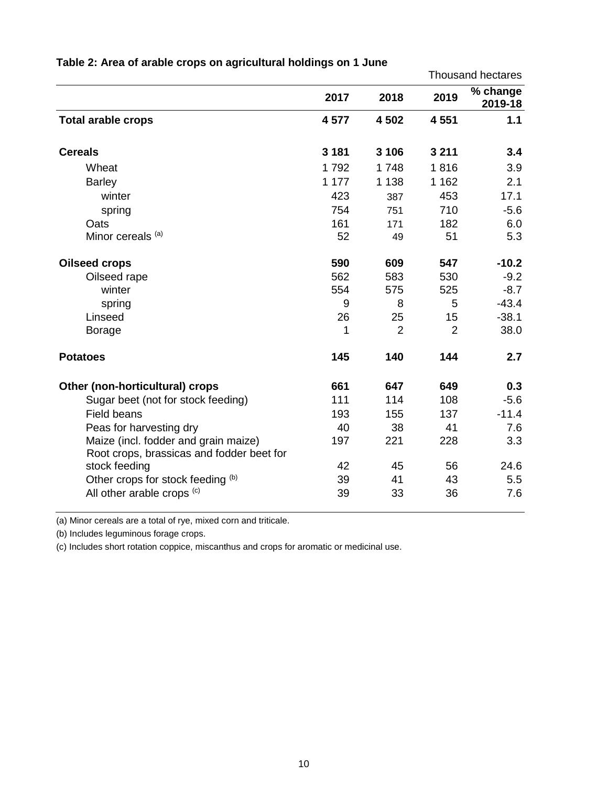|                                                                                   |         |                | <b>Thousand hectares</b> |                     |
|-----------------------------------------------------------------------------------|---------|----------------|--------------------------|---------------------|
|                                                                                   | 2017    | 2018           | 2019                     | % change<br>2019-18 |
| <b>Total arable crops</b>                                                         | 4577    | 4 502          | 4 5 5 1                  | 1.1                 |
| <b>Cereals</b>                                                                    | 3 1 8 1 | 3 1 0 6        | 3 2 1 1                  | 3.4                 |
| Wheat                                                                             | 1792    | 1748           | 1816                     | 3.9                 |
| <b>Barley</b>                                                                     | 1 177   | 1 1 3 8        | 1 1 6 2                  | 2.1                 |
| winter                                                                            | 423     | 387            | 453                      | 17.1                |
| spring                                                                            | 754     | 751            | 710                      | $-5.6$              |
| Oats                                                                              | 161     | 171            | 182                      | 6.0                 |
| Minor cereals (a)                                                                 | 52      | 49             | 51                       | 5.3                 |
| <b>Oilseed crops</b>                                                              | 590     | 609            | 547                      | $-10.2$             |
| Oilseed rape                                                                      | 562     | 583            | 530                      | $-9.2$              |
| winter                                                                            | 554     | 575            | 525                      | $-8.7$              |
| spring                                                                            | 9       | 8              | 5                        | $-43.4$             |
| Linseed                                                                           | 26      | 25             | 15                       | $-38.1$             |
| <b>Borage</b>                                                                     | 1       | $\overline{2}$ | $\overline{2}$           | 38.0                |
| <b>Potatoes</b>                                                                   | 145     | 140            | 144                      | 2.7                 |
| Other (non-horticultural) crops                                                   | 661     | 647            | 649                      | 0.3                 |
| Sugar beet (not for stock feeding)                                                | 111     | 114            | 108                      | $-5.6$              |
| <b>Field beans</b>                                                                | 193     | 155            | 137                      | $-11.4$             |
| Peas for harvesting dry                                                           | 40      | 38             | 41                       | 7.6                 |
| Maize (incl. fodder and grain maize)<br>Root crops, brassicas and fodder beet for | 197     | 221            | 228                      | 3.3                 |
| stock feeding                                                                     | 42      | 45             | 56                       | 24.6                |
| Other crops for stock feeding (b)                                                 | 39      | 41             | 43                       | 5.5                 |
| All other arable crops (c)                                                        | 39      | 33             | 36                       | 7.6                 |

## **Table 2: Area of arable crops on agricultural holdings on 1 June**

(a) Minor cereals are a total of rye, mixed corn and triticale.

(b) Includes leguminous forage crops.

(c) Includes short rotation coppice, miscanthus and crops for aromatic or medicinal use.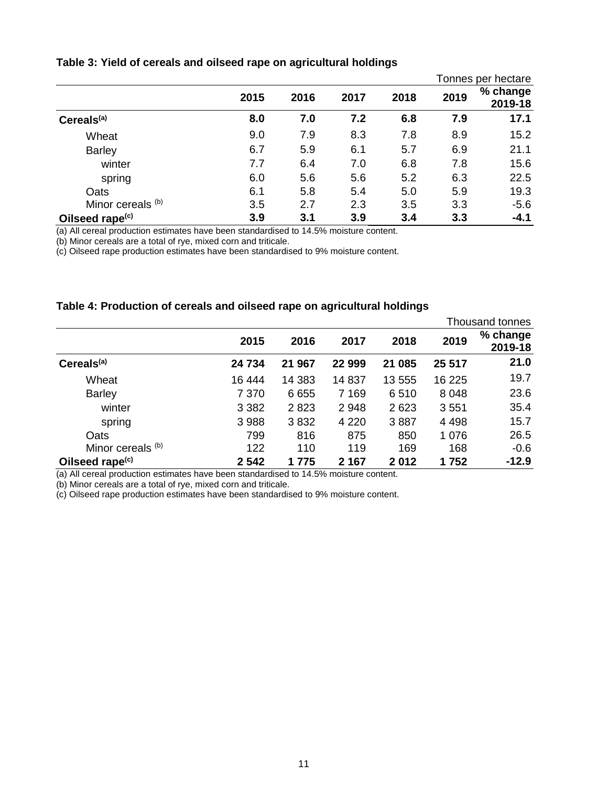#### <span id="page-10-0"></span>**Table 3: Yield of cereals and oilseed rape on agricultural holdings**

|                              |      |      |      |      |      | Tonnes per hectare  |
|------------------------------|------|------|------|------|------|---------------------|
|                              | 2015 | 2016 | 2017 | 2018 | 2019 | % change<br>2019-18 |
| Cereals <sup>(a)</sup>       | 8.0  | 7.0  | 7.2  | 6.8  | 7.9  | 17.1                |
| Wheat                        | 9.0  | 7.9  | 8.3  | 7.8  | 8.9  | 15.2                |
| <b>Barley</b>                | 6.7  | 5.9  | 6.1  | 5.7  | 6.9  | 21.1                |
| winter                       | 7.7  | 6.4  | 7.0  | 6.8  | 7.8  | 15.6                |
| spring                       | 6.0  | 5.6  | 5.6  | 5.2  | 6.3  | 22.5                |
| Oats                         | 6.1  | 5.8  | 5.4  | 5.0  | 5.9  | 19.3                |
| Minor cereals <sup>(b)</sup> | 3.5  | 2.7  | 2.3  | 3.5  | 3.3  | $-5.6$              |
| Oilseed rape <sup>(c)</sup>  | 3.9  | 3.1  | 3.9  | 3.4  | 3.3  | $-4.1$              |

(a) All cereal production estimates have been standardised to 14.5% moisture content.

(b) Minor cereals are a total of rye, mixed corn and triticale.

(c) Oilseed rape production estimates have been standardised to 9% moisture content.

#### <span id="page-10-1"></span>**Table 4: Production of cereals and oilseed rape on agricultural holdings**

|                             |         |        |         |        |         | Thousand tonnes     |
|-----------------------------|---------|--------|---------|--------|---------|---------------------|
|                             | 2015    | 2016   | 2017    | 2018   | 2019    | % change<br>2019-18 |
| Cereals <sup>(a)</sup>      | 24 734  | 21 967 | 22 999  | 21 085 | 25 517  | 21.0                |
| Wheat                       | 16 444  | 14 383 | 14 8 37 | 13 555 | 16 225  | 19.7                |
| <b>Barley</b>               | 7 3 7 0 | 6655   | 7 1 6 9 | 6510   | 8 0 4 8 | 23.6                |
| winter                      | 3 3 8 2 | 2823   | 2948    | 2623   | 3551    | 35.4                |
| spring                      | 3 9 8 8 | 3832   | 4 2 2 0 | 3887   | 4 4 9 8 | 15.7                |
| Oats                        | 799     | 816    | 875     | 850    | 1 0 7 6 | 26.5                |
| Minor cereals (b)           | 122     | 110    | 119     | 169    | 168     | $-0.6$              |
| Oilseed rape <sup>(c)</sup> | 2 5 4 2 | 1 775  | 2 1 6 7 | 2012   | 1752    | $-12.9$             |

(a) All cereal production estimates have been standardised to 14.5% moisture content.

(b) Minor cereals are a total of rye, mixed corn and triticale.

(c) Oilseed rape production estimates have been standardised to 9% moisture content.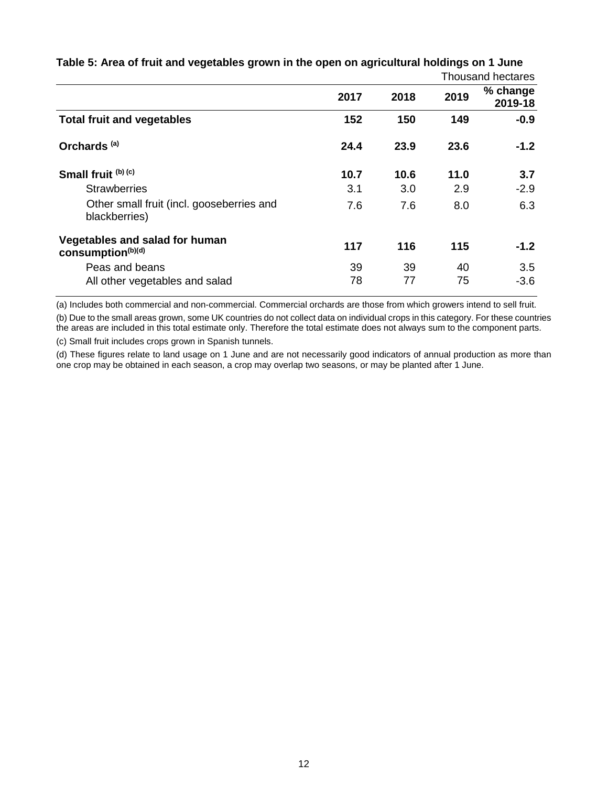|                                                                 | Thousand hectares |      |      |                     |
|-----------------------------------------------------------------|-------------------|------|------|---------------------|
|                                                                 | 2017              | 2018 | 2019 | % change<br>2019-18 |
| <b>Total fruit and vegetables</b>                               | 152               | 150  | 149  | $-0.9$              |
| Orchards <sup>(a)</sup>                                         | 24.4              | 23.9 | 23.6 | $-1.2$              |
| Small fruit (b) (c)                                             | 10.7              | 10.6 | 11.0 | 3.7                 |
| <b>Strawberries</b>                                             | 3.1               | 3.0  | 2.9  | $-2.9$              |
| Other small fruit (incl. gooseberries and<br>blackberries)      | 7.6               | 7.6  | 8.0  | 6.3                 |
| Vegetables and salad for human<br>consumption <sup>(b)(d)</sup> | 117               | 116  | 115  | $-1.2$              |
| Peas and beans                                                  | 39                | 39   | 40   | 3.5                 |
| All other vegetables and salad                                  | 78                | 77   | 75   | $-3.6$              |

<span id="page-11-0"></span>**Table 5: Area of fruit and vegetables grown in the open on agricultural holdings on 1 June**

(a) Includes both commercial and non-commercial. Commercial orchards are those from which growers intend to sell fruit.

(b) Due to the small areas grown, some UK countries do not collect data on individual crops in this category. For these countries the areas are included in this total estimate only. Therefore the total estimate does not always sum to the component parts.

(c) Small fruit includes crops grown in Spanish tunnels.

(d) These figures relate to land usage on 1 June and are not necessarily good indicators of annual production as more than one crop may be obtained in each season, a crop may overlap two seasons, or may be planted after 1 June.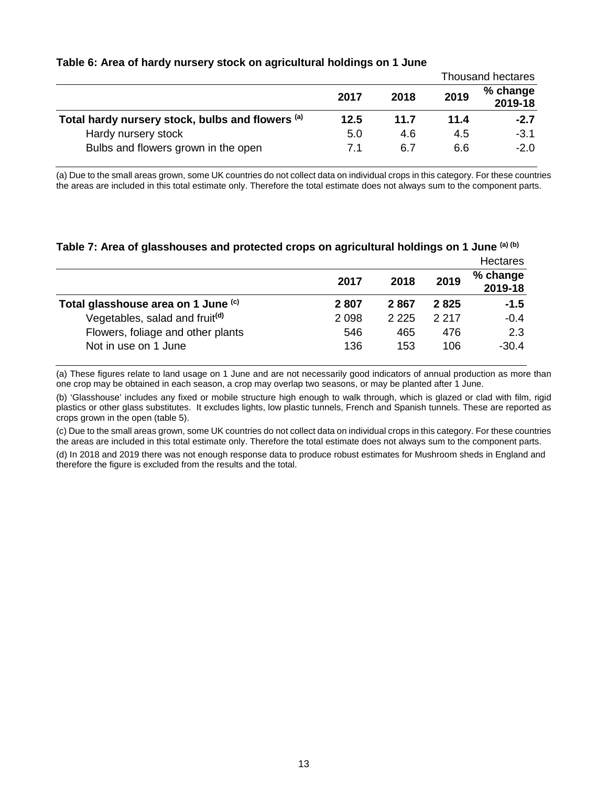|  | Table 6: Area of hardy nursery stock on agricultural holdings on 1 June |  |
|--|-------------------------------------------------------------------------|--|
|--|-------------------------------------------------------------------------|--|

|                                                  |      |      | Thousand hectares |                     |  |
|--------------------------------------------------|------|------|-------------------|---------------------|--|
|                                                  | 2017 | 2018 | 2019              | % change<br>2019-18 |  |
| Total hardy nursery stock, bulbs and flowers (a) | 12.5 | 11.7 | 11.4              | $-2.7$              |  |
| Hardy nursery stock                              | 5.0  | 4.6  | 4.5               | $-3.1$              |  |
| Bulbs and flowers grown in the open              | 7.1  | 6.7  | 6.6               | $-2.0$              |  |

(a) Due to the small areas grown, some UK countries do not collect data on individual crops in this category. For these countries the areas are included in this total estimate only. Therefore the total estimate does not always sum to the component parts.

#### **Table 7: Area of glasshouses and protected crops on agricultural holdings on 1 June (a) (b)**

|                                            |         |         |         | Hectares            |
|--------------------------------------------|---------|---------|---------|---------------------|
|                                            | 2017    | 2018    | 2019    | % change<br>2019-18 |
| Total glasshouse area on 1 June (c)        | 2807    | 2867    | 2825    | $-1.5$              |
| Vegetables, salad and fruit <sup>(d)</sup> | 2 0 9 8 | 2 2 2 5 | 2 2 1 7 | $-0.4$              |
| Flowers, foliage and other plants          | 546     | 465     | 476     | 2.3                 |
| Not in use on 1 June                       | 136     | 153     | 106     | $-30.4$             |

(a) These figures relate to land usage on 1 June and are not necessarily good indicators of annual production as more than one crop may be obtained in each season, a crop may overlap two seasons, or may be planted after 1 June.

(b) 'Glasshouse' includes any fixed or mobile structure high enough to walk through, which is glazed or clad with film, rigid plastics or other glass substitutes. It excludes lights, low plastic tunnels, French and Spanish tunnels. These are reported as crops grown in the open (table 5).

(c) Due to the small areas grown, some UK countries do not collect data on individual crops in this category. For these countries the areas are included in this total estimate only. Therefore the total estimate does not always sum to the component parts.

(d) In 2018 and 2019 there was not enough response data to produce robust estimates for Mushroom sheds in England and therefore the figure is excluded from the results and the total.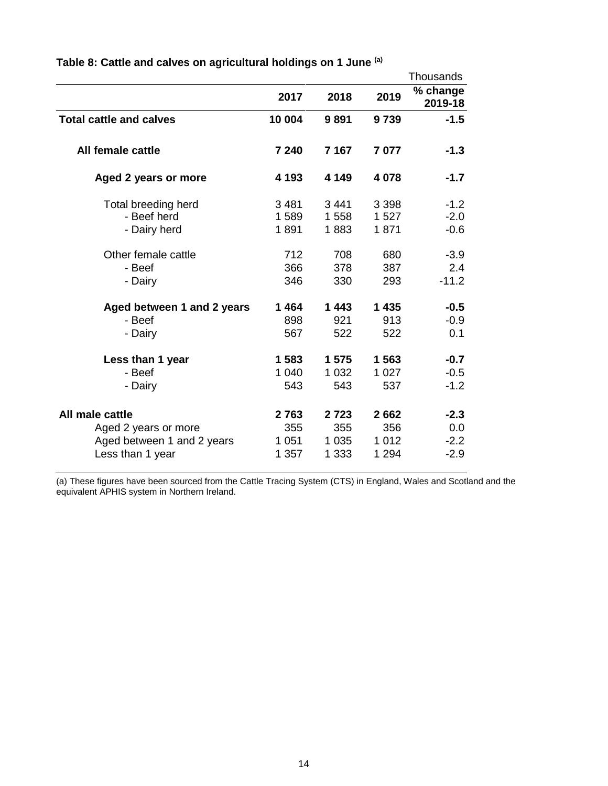|                                |         |         |         | Thousands           |
|--------------------------------|---------|---------|---------|---------------------|
|                                | 2017    | 2018    | 2019    | % change<br>2019-18 |
| <b>Total cattle and calves</b> | 10 004  | 9891    | 9739    | $-1.5$              |
| All female cattle              | 7 240   | 7 1 6 7 | 7077    | $-1.3$              |
| Aged 2 years or more           | 4 1 9 3 | 4 1 4 9 | 4 0 7 8 | $-1.7$              |
| Total breeding herd            | 3 4 8 1 | 3441    | 3 3 9 8 | $-1.2$              |
| - Beef herd                    | 1589    | 1558    | 1 527   | $-2.0$              |
| - Dairy herd                   | 1891    | 1883    | 1871    | $-0.6$              |
| Other female cattle            | 712     | 708     | 680     | $-3.9$              |
| - Beef                         | 366     | 378     | 387     | 2.4                 |
| - Dairy                        | 346     | 330     | 293     | $-11.2$             |
| Aged between 1 and 2 years     | 1464    | 1443    | 1 4 3 5 | $-0.5$              |
| - Beef                         | 898     | 921     | 913     | $-0.9$              |
| - Dairy                        | 567     | 522     | 522     | 0.1                 |
| Less than 1 year               | 1 583   | 1 5 7 5 | 1563    | $-0.7$              |
| - Beef                         | 1 040   | 1 0 3 2 | 1 0 2 7 | $-0.5$              |
| - Dairy                        | 543     | 543     | 537     | $-1.2$              |
| All male cattle                | 2763    | 2723    | 2662    | $-2.3$              |
| Aged 2 years or more           | 355     | 355     | 356     | 0.0                 |
| Aged between 1 and 2 years     | 1 0 5 1 | 1 0 3 5 | 1 0 1 2 | $-2.2$              |
| Less than 1 year               | 1 357   | 1 3 3 3 | 1 2 9 4 | $-2.9$              |

<span id="page-13-0"></span>**Table 8: Cattle and calves on agricultural holdings on 1 June (a)**

(a) These figures have been sourced from the Cattle Tracing System (CTS) in England, Wales and Scotland and the equivalent APHIS system in Northern Ireland.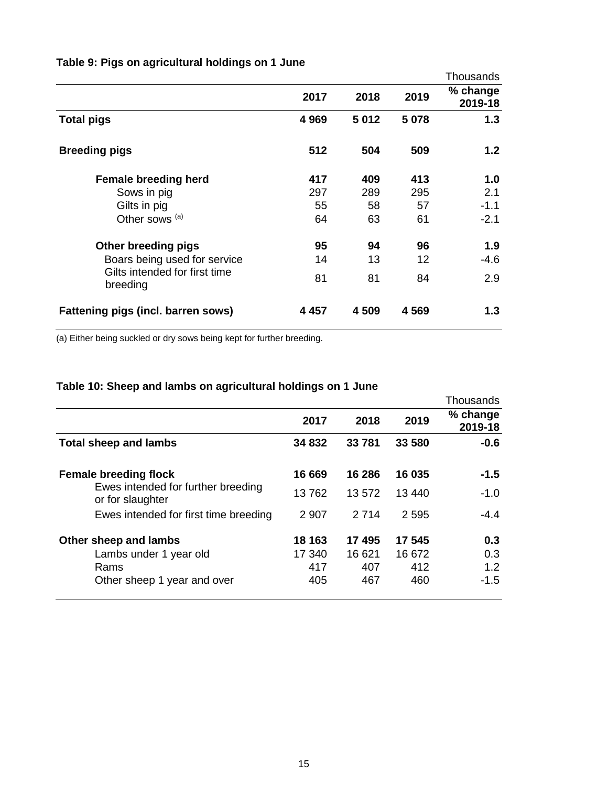|                                           |         |       |        | Thousands           |
|-------------------------------------------|---------|-------|--------|---------------------|
|                                           | 2017    | 2018  | 2019   | % change<br>2019-18 |
| <b>Total pigs</b>                         | 4 9 6 9 | 5012  | 5 0 78 | 1.3                 |
| <b>Breeding pigs</b>                      | 512     | 504   | 509    | 1.2                 |
| <b>Female breeding herd</b>               | 417     | 409   | 413    | 1.0                 |
| Sows in pig                               | 297     | 289   | 295    | 2.1                 |
| Gilts in pig                              | 55      | 58    | 57     | $-1.1$              |
| Other sows <sup>(a)</sup>                 | 64      | 63    | 61     | $-2.1$              |
| Other breeding pigs                       | 95      | 94    | 96     | 1.9                 |
| Boars being used for service              | 14      | 13    | 12     | -4.6                |
| Gilts intended for first time<br>breeding | 81      | 81    | 84     | 2.9                 |
| Fattening pigs (incl. barren sows)        | 4 4 5 7 | 4 509 | 4569   | 1.3                 |

## **Table 9: Pigs on agricultural holdings on 1 June**

(a) Either being suckled or dry sows being kept for further breeding.

## **Table 10: Sheep and lambs on agricultural holdings on 1 June**

|                                                        |         |         |        | Thousands           |
|--------------------------------------------------------|---------|---------|--------|---------------------|
|                                                        | 2017    | 2018    | 2019   | % change<br>2019-18 |
| <b>Total sheep and lambs</b>                           | 34 832  | 33 781  | 33 580 | $-0.6$              |
| <b>Female breeding flock</b>                           | 16 669  | 16 286  | 16 035 | $-1.5$              |
| Ewes intended for further breeding<br>or for slaughter | 13762   | 13 572  | 13 440 | $-1.0$              |
| Ewes intended for first time breeding                  | 2 9 0 7 | 2 7 1 4 | 2595   | $-4.4$              |
| Other sheep and lambs                                  | 18 163  | 17 495  | 17 545 | 0.3                 |
| Lambs under 1 year old                                 | 17 340  | 16 621  | 16 672 | 0.3                 |
| Rams                                                   | 417     | 407     | 412    | 1.2                 |
| Other sheep 1 year and over                            | 405     | 467     | 460    | $-1.5$              |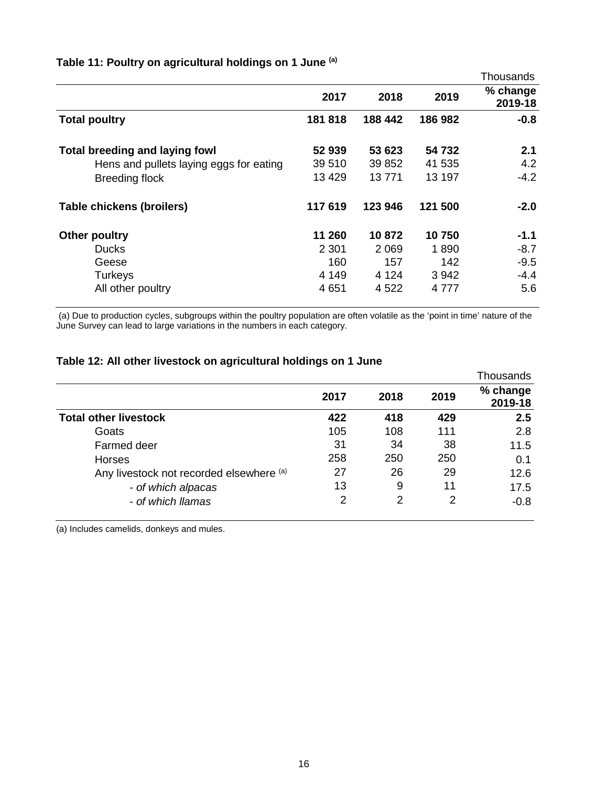|                                         |         |         |         | Thousands           |
|-----------------------------------------|---------|---------|---------|---------------------|
|                                         | 2017    | 2018    | 2019    | % change<br>2019-18 |
| <b>Total poultry</b>                    | 181818  | 188 442 | 186 982 | $-0.8$              |
| <b>Total breeding and laying fowl</b>   | 52 939  | 53 623  | 54 732  | 2.1                 |
| Hens and pullets laying eggs for eating | 39 510  | 39 852  | 41 535  | 4.2                 |
| <b>Breeding flock</b>                   | 13 4 29 | 13 771  | 13 197  | $-4.2$              |
| Table chickens (broilers)               | 117 619 | 123 946 | 121 500 | $-2.0$              |
| Other poultry                           | 11 260  | 10 872  | 10750   | -1.1                |
| <b>Ducks</b>                            | 2 3 0 1 | 2 0 6 9 | 1890    | $-8.7$              |
| Geese                                   | 160     | 157     | 142     | $-9.5$              |
| <b>Turkeys</b>                          | 4 1 4 9 | 4 1 2 4 | 3942    | $-4.4$              |
| All other poultry                       | 4 6 5 1 | 4 5 22  | 4 7 7 7 | 5.6                 |

## **Table 11: Poultry on agricultural holdings on 1 June (a)**

(a) Due to production cycles, subgroups within the poultry population are often volatile as the 'point in time' nature of the June Survey can lead to large variations in the numbers in each category.

### **Table 12: All other livestock on agricultural holdings on 1 June**

|                                          |      |      |      | Thousands           |
|------------------------------------------|------|------|------|---------------------|
|                                          | 2017 | 2018 | 2019 | % change<br>2019-18 |
| <b>Total other livestock</b>             | 422  | 418  | 429  | 2.5                 |
| Goats                                    | 105  | 108  | 111  | 2.8                 |
| <b>Farmed deer</b>                       | 31   | 34   | 38   | 11.5                |
| <b>Horses</b>                            | 258  | 250  | 250  | 0.1                 |
| Any livestock not recorded elsewhere (a) | 27   | 26   | 29   | 12.6                |
| - of which alpacas                       | 13   | 9    | 11   | 17.5                |
| - of which llamas                        | 2    | 2    | 2    | $-0.8$              |

(a) Includes camelids, donkeys and mules.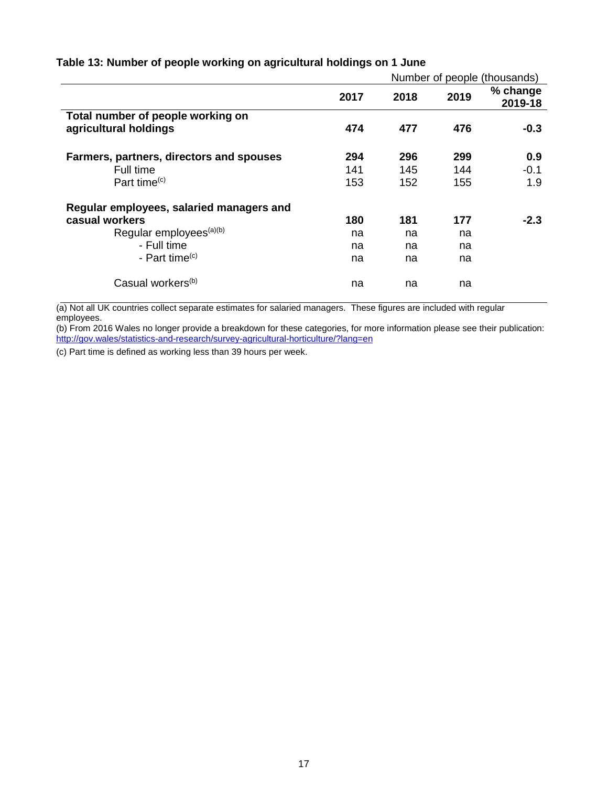## <span id="page-16-0"></span>**Table 13: Number of people working on agricultural holdings on 1 June**

|                                          | Number of people (thousands) |      |      |                     |
|------------------------------------------|------------------------------|------|------|---------------------|
|                                          | 2017                         | 2018 | 2019 | % change<br>2019-18 |
| Total number of people working on        |                              |      |      |                     |
| agricultural holdings                    | 474                          | 477  | 476  | $-0.3$              |
| Farmers, partners, directors and spouses | 294                          | 296  | 299  | 0.9                 |
| Full time                                | 141                          | 145  | 144  | $-0.1$              |
| Part time <sup>(c)</sup>                 | 153                          | 152  | 155  | 1.9                 |
| Regular employees, salaried managers and |                              |      |      |                     |
| casual workers                           | 180                          | 181  | 177  | $-2.3$              |
| Regular employees <sup>(a)(b)</sup>      | na                           | na   | na   |                     |
| - Full time                              | na                           | na   | na   |                     |
| - Part time $(c)$                        | na                           | na   | na   |                     |
| Casual workers <sup>(b)</sup>            | na                           | na   | na   |                     |

(a) Not all UK countries collect separate estimates for salaried managers. These figures are included with regular employees.

(b) From 2016 Wales no longer provide a breakdown for these categories, for more information please see their publication: <http://gov.wales/statistics-and-research/survey-agricultural-horticulture/?lang=en>

<span id="page-16-1"></span>(c) Part time is defined as working less than 39 hours per week.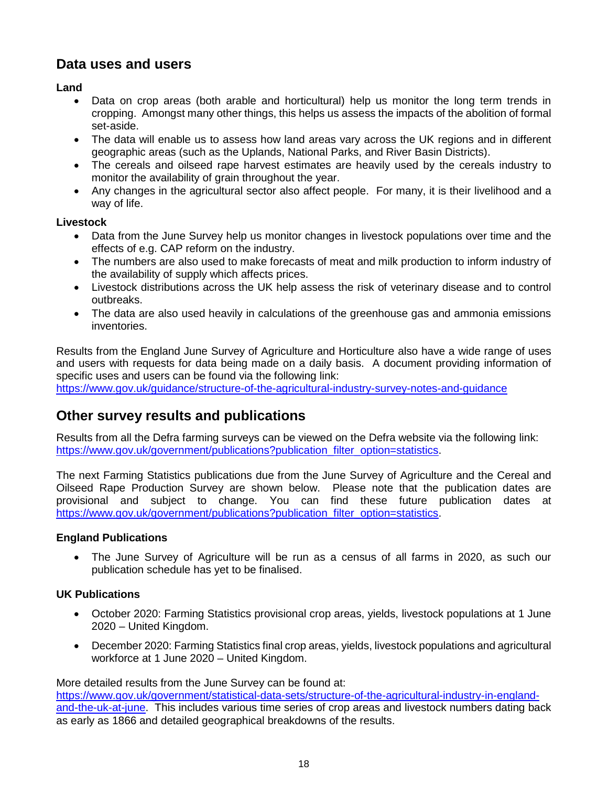## **Data uses and users**

### **Land**

- Data on crop areas (both arable and horticultural) help us monitor the long term trends in cropping. Amongst many other things, this helps us assess the impacts of the abolition of formal set-aside.
- The data will enable us to assess how land areas vary across the UK regions and in different geographic areas (such as the Uplands, National Parks, and River Basin Districts).
- The cereals and oilseed rape harvest estimates are heavily used by the cereals industry to monitor the availability of grain throughout the year.
- Any changes in the agricultural sector also affect people. For many, it is their livelihood and a way of life.

### **Livestock**

- Data from the June Survey help us monitor changes in livestock populations over time and the effects of e.g. CAP reform on the industry.
- The numbers are also used to make forecasts of meat and milk production to inform industry of the availability of supply which affects prices.
- Livestock distributions across the UK help assess the risk of veterinary disease and to control outbreaks.
- The data are also used heavily in calculations of the greenhouse gas and ammonia emissions inventories.

Results from the England June Survey of Agriculture and Horticulture also have a wide range of uses and users with requests for data being made on a daily basis. A document providing information of specific uses and users can be found via the following link:

<https://www.gov.uk/guidance/structure-of-the-agricultural-industry-survey-notes-and-guidance>

## **Other survey results and publications**

Results from all the Defra farming surveys can be viewed on the Defra website via the following link: [https://www.gov.uk/government/publications?publication\\_filter\\_option=statistics.](https://www.gov.uk/government/publications?publication_filter_option=statistics)

The next Farming Statistics publications due from the June Survey of Agriculture and the Cereal and Oilseed Rape Production Survey are shown below. Please note that the publication dates are provisional and subject to change. You can find these future publication dates at [https://www.gov.uk/government/publications?publication\\_filter\\_option=statistics.](https://www.gov.uk/government/publications?publication_filter_option=statistics)

## **England Publications**

• The June Survey of Agriculture will be run as a census of all farms in 2020, as such our publication schedule has yet to be finalised.

## **UK Publications**

- October 2020: Farming Statistics provisional crop areas, yields, livestock populations at 1 June 2020 – United Kingdom.
- December 2020: Farming Statistics final crop areas, yields, livestock populations and agricultural workforce at 1 June 2020 – United Kingdom.

More detailed results from the June Survey can be found at:

[https://www.gov.uk/government/statistical-data-sets/structure-of-the-agricultural-industry-in-england](https://www.gov.uk/government/statistical-data-sets/structure-of-the-agricultural-industry-in-england-and-the-uk-at-june)[and-the-uk-at-june.](https://www.gov.uk/government/statistical-data-sets/structure-of-the-agricultural-industry-in-england-and-the-uk-at-june) This includes various time series of crop areas and livestock numbers dating back as early as 1866 and detailed geographical breakdowns of the results.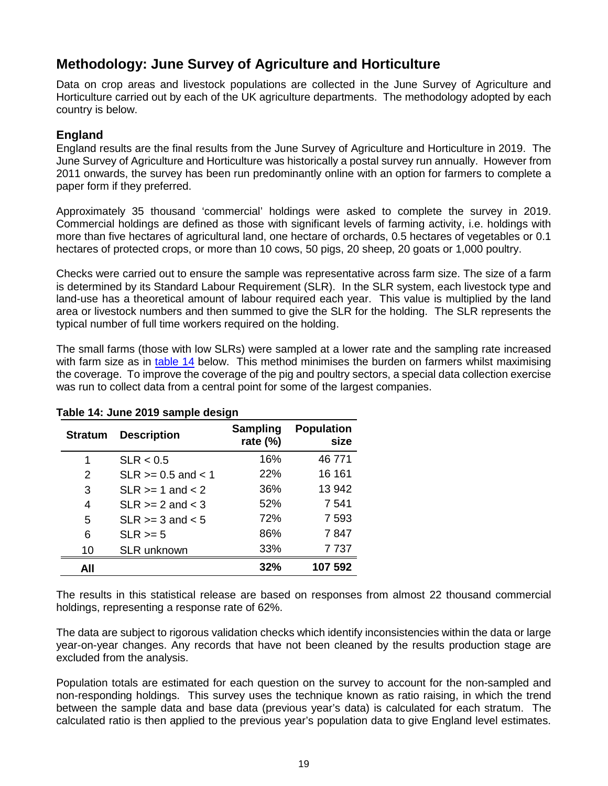## **Methodology: June Survey of Agriculture and Horticulture**

Data on crop areas and livestock populations are collected in the June Survey of Agriculture and Horticulture carried out by each of the UK agriculture departments. The methodology adopted by each country is below.

## **England**

England results are the final results from the June Survey of Agriculture and Horticulture in 2019. The June Survey of Agriculture and Horticulture was historically a postal survey run annually. However from 2011 onwards, the survey has been run predominantly online with an option for farmers to complete a paper form if they preferred.

Approximately 35 thousand 'commercial' holdings were asked to complete the survey in 2019. Commercial holdings are defined as those with significant levels of farming activity, i.e. holdings with more than five hectares of agricultural land, one hectare of orchards, 0.5 hectares of vegetables or 0.1 hectares of protected crops, or more than 10 cows, 50 pigs, 20 sheep, 20 goats or 1,000 poultry.

Checks were carried out to ensure the sample was representative across farm size. The size of a farm is determined by its Standard Labour Requirement (SLR). In the SLR system, each livestock type and land-use has a theoretical amount of labour required each year. This value is multiplied by the land area or livestock numbers and then summed to give the SLR for the holding. The SLR represents the typical number of full time workers required on the holding.

The small farms (those with low SLRs) were sampled at a lower rate and the sampling rate increased with farm size as in [table 14](#page-18-0) below. This method minimises the burden on farmers whilst maximising the coverage. To improve the coverage of the pig and poultry sectors, a special data collection exercise was run to collect data from a central point for some of the largest companies.

| <b>Stratum</b> | <b>Description</b>     | <b>Sampling</b><br>rate (%) | <b>Population</b><br>size |
|----------------|------------------------|-----------------------------|---------------------------|
| 1              | SLR < 0.5              | 16%                         | 46771                     |
| 2              | $SLR$ >= 0.5 and < 1   | 22%                         | 16 161                    |
| 3              | $SLR \geq 1$ and $< 2$ | 36%                         | 13 942                    |
| 4              | $SLR \ge 2$ and $< 3$  | 52%                         | 7 541                     |
| 5              | $SLR \geq 3$ and $< 5$ | 72%                         | 7 5 9 3                   |
| 6              | $SLR \geq 5$           | 86%                         | 7847                      |
| 10             | <b>SLR unknown</b>     | 33%                         | 7737                      |
| All            |                        | 32%                         | 107 592                   |

<span id="page-18-0"></span>**Table 14: June 2019 sample design**

The results in this statistical release are based on responses from almost 22 thousand commercial holdings, representing a response rate of 62%.

The data are subject to rigorous validation checks which identify inconsistencies within the data or large year-on-year changes. Any records that have not been cleaned by the results production stage are excluded from the analysis.

Population totals are estimated for each question on the survey to account for the non-sampled and non-responding holdings. This survey uses the technique known as ratio raising, in which the trend between the sample data and base data (previous year's data) is calculated for each stratum. The calculated ratio is then applied to the previous year's population data to give England level estimates.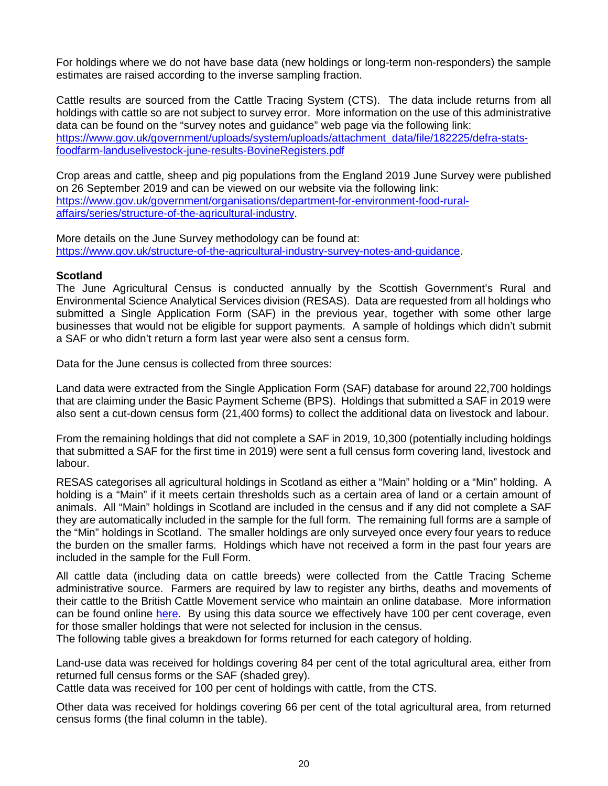For holdings where we do not have base data (new holdings or long-term non-responders) the sample estimates are raised according to the inverse sampling fraction.

Cattle results are sourced from the Cattle Tracing System (CTS). The data include returns from all holdings with cattle so are not subject to survey error. More information on the use of this administrative data can be found on the "survey notes and guidance" web page via the following link: [https://www.gov.uk/government/uploads/system/uploads/attachment\\_data/file/182225/defra-stats](https://www.gov.uk/government/uploads/system/uploads/attachment_data/file/182225/defra-stats-foodfarm-landuselivestock-june-results-BovineRegisters.pdf)[foodfarm-landuselivestock-june-results-BovineRegisters.pdf](https://www.gov.uk/government/uploads/system/uploads/attachment_data/file/182225/defra-stats-foodfarm-landuselivestock-june-results-BovineRegisters.pdf)

Crop areas and cattle, sheep and pig populations from the England 2019 June Survey were published on 26 September 2019 and can be viewed on our website via the following link: [https://www.gov.uk/government/organisations/department-for-environment-food-rural](https://www.gov.uk/government/organisations/department-for-environment-food-rural-affairs/series/structure-of-the-agricultural-industry)[affairs/series/structure-of-the-agricultural-industry.](https://www.gov.uk/government/organisations/department-for-environment-food-rural-affairs/series/structure-of-the-agricultural-industry)

More details on the June Survey methodology can be found at: [https://www.gov.uk/structure-of-the-agricultural-industry-survey-notes-and-guidance.](https://www.gov.uk/structure-of-the-agricultural-industry-survey-notes-and-guidance)

#### **Scotland**

The June Agricultural Census is conducted annually by the Scottish Government's Rural and Environmental Science Analytical Services division (RESAS). Data are requested from all holdings who submitted a Single Application Form (SAF) in the previous year, together with some other large businesses that would not be eligible for support payments. A sample of holdings which didn't submit a SAF or who didn't return a form last year were also sent a census form.

Data for the June census is collected from three sources:

Land data were extracted from the Single Application Form (SAF) database for around 22,700 holdings that are claiming under the Basic Payment Scheme (BPS). Holdings that submitted a SAF in 2019 were also sent a cut-down census form (21,400 forms) to collect the additional data on livestock and labour.

From the remaining holdings that did not complete a SAF in 2019, 10,300 (potentially including holdings that submitted a SAF for the first time in 2019) were sent a full census form covering land, livestock and labour.

RESAS categorises all agricultural holdings in Scotland as either a "Main" holding or a "Min" holding. A holding is a "Main" if it meets certain thresholds such as a certain area of land or a certain amount of animals. All "Main" holdings in Scotland are included in the census and if any did not complete a SAF they are automatically included in the sample for the full form. The remaining full forms are a sample of the "Min" holdings in Scotland. The smaller holdings are only surveyed once every four years to reduce the burden on the smaller farms. Holdings which have not received a form in the past four years are included in the sample for the Full Form.

All cattle data (including data on cattle breeds) were collected from the Cattle Tracing Scheme administrative source. Farmers are required by law to register any births, deaths and movements of their cattle to the British Cattle Movement service who maintain an online database. More information can be found online [here.](https://www.gov.uk/government/organisations/british-cattle-movement-service/about) By using this data source we effectively have 100 per cent coverage, even for those smaller holdings that were not selected for inclusion in the census.

The following table gives a breakdown for forms returned for each category of holding.

Land-use data was received for holdings covering 84 per cent of the total agricultural area, either from returned full census forms or the SAF (shaded grey).

Cattle data was received for 100 per cent of holdings with cattle, from the CTS.

Other data was received for holdings covering 66 per cent of the total agricultural area, from returned census forms (the final column in the table).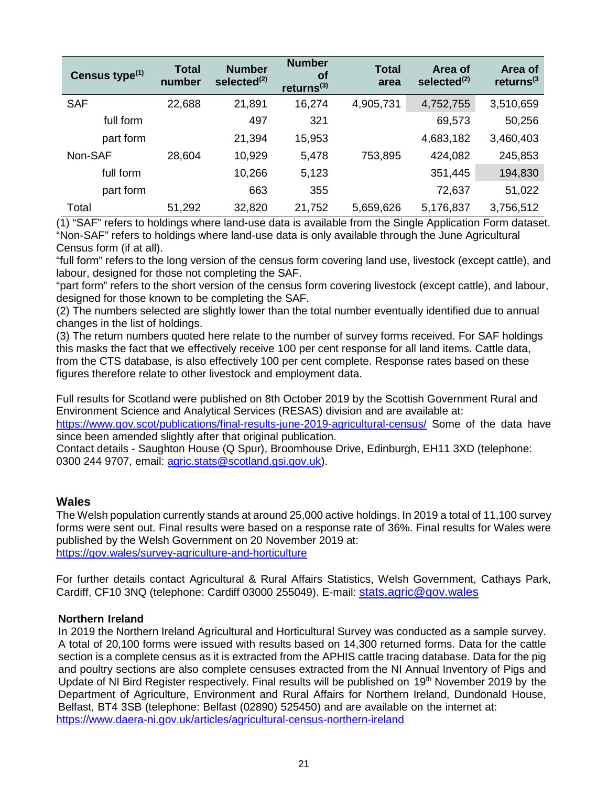| Census type <sup>(1)</sup> | <b>Total</b><br>number | <b>Number</b><br>selected <sup>(2)</sup> | <b>Number</b><br><b>of</b><br>returns $(3)$ | <b>Total</b><br>area | Area of<br>selected <sup>(2)</sup> | Area of<br>returns $(3)$ |
|----------------------------|------------------------|------------------------------------------|---------------------------------------------|----------------------|------------------------------------|--------------------------|
| <b>SAF</b>                 | 22,688                 | 21,891                                   | 16,274                                      | 4,905,731            | 4,752,755                          | 3,510,659                |
| full form                  |                        | 497                                      | 321                                         |                      | 69,573                             | 50,256                   |
| part form                  |                        | 21,394                                   | 15,953                                      |                      | 4,683,182                          | 3,460,403                |
| Non-SAF                    | 28,604                 | 10,929                                   | 5,478                                       | 753,895              | 424,082                            | 245,853                  |
| full form                  |                        | 10,266                                   | 5,123                                       |                      | 351,445                            | 194,830                  |
| part form                  |                        | 663                                      | 355                                         |                      | 72,637                             | 51,022                   |
| Total                      | 51,292                 | 32,820                                   | 21,752                                      | 5,659,626            | 5,176,837                          | 3,756,512                |

(1) "SAF" refers to holdings where land-use data is available from the Single Application Form dataset. "Non-SAF" refers to holdings where land-use data is only available through the June Agricultural Census form (if at all).

"full form" refers to the long version of the census form covering land use, livestock (except cattle), and labour, designed for those not completing the SAF.

"part form" refers to the short version of the census form covering livestock (except cattle), and labour, designed for those known to be completing the SAF.

(2) The numbers selected are slightly lower than the total number eventually identified due to annual changes in the list of holdings.

(3) The return numbers quoted here relate to the number of survey forms received. For SAF holdings this masks the fact that we effectively receive 100 per cent response for all land items. Cattle data, from the CTS database, is also effectively 100 per cent complete. Response rates based on these figures therefore relate to other livestock and employment data.

Full results for Scotland were published on 8th October 2019 by the Scottish Government Rural and Environment Science and Analytical Services (RESAS) division and are available at:

<https://www.gov.scot/publications/final-results-june-2019-agricultural-census/> Some of the data have since been amended slightly after that original publication.

Contact details - Saughton House (Q Spur), Broomhouse Drive, Edinburgh, EH11 3XD (telephone: 0300 244 9707, email: [agric.stats@scotland.gsi.gov.uk\)](mailto:agric.stats@scotland.gsi.gov.uk).

## **Wales**

The Welsh population currently stands at around 25,000 active holdings. In 2019 a total of 11,100 survey forms were sent out. Final results were based on a response rate of 36%. Final results for Wales were published by the Welsh Government on 20 November 2019 at: <https://gov.wales/survey-agriculture-and-horticulture>

For further details contact Agricultural & Rural Affairs Statistics, Welsh Government, Cathays Park, Cardiff, CF10 3NQ (telephone: Cardiff 03000 255049). E-mail: [stats.agric@gov.wales](mailto:stats.agric@gov.wales)

#### **Northern Ireland**

In 2019 the Northern Ireland Agricultural and Horticultural Survey was conducted as a sample survey. A total of 20,100 forms were issued with results based on 14,300 returned forms. Data for the cattle section is a complete census as it is extracted from the APHIS cattle tracing database. Data for the pig and poultry sections are also complete censuses extracted from the NI Annual Inventory of Pigs and Update of NI Bird Register respectively. Final results will be published on 19<sup>th</sup> November 2019 by the Department of Agriculture, Environment and Rural Affairs for Northern Ireland, Dundonald House, Belfast, BT4 3SB (telephone: Belfast (02890) 525450) and are available on the internet at: <https://www.daera-ni.gov.uk/articles/agricultural-census-northern-ireland>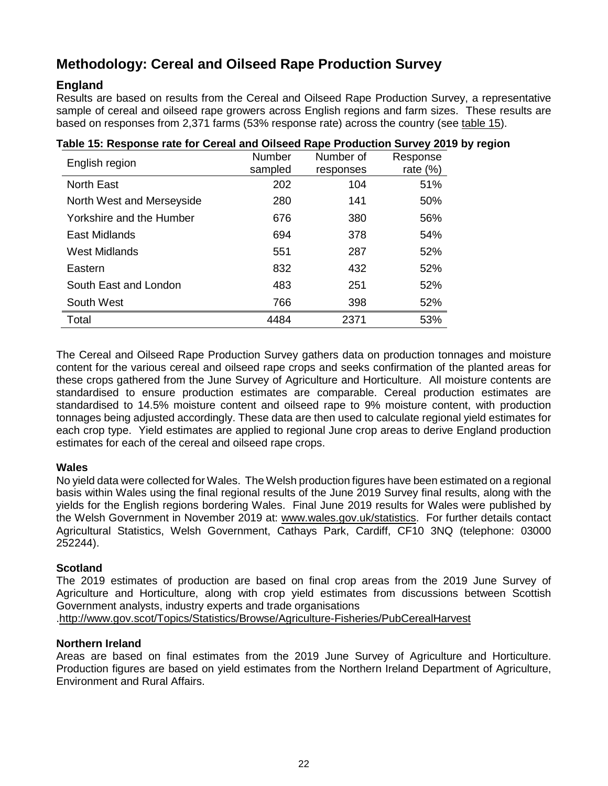# **Methodology: Cereal and Oilseed Rape Production Survey**

## **England**

Results are based on results from the Cereal and Oilseed Rape Production Survey, a representative sample of cereal and oilseed rape growers across English regions and farm sizes. These results are based on responses from 2,371 farms (53% response rate) across the country (see [table 15\)](#page-21-0).

| English region            | Number  | Number of | Response    |  |  |  |
|---------------------------|---------|-----------|-------------|--|--|--|
|                           | sampled | responses | rate $(\%)$ |  |  |  |
| <b>North East</b>         | 202     | 104       | 51%         |  |  |  |
| North West and Merseyside | 280     | 141       | 50%         |  |  |  |
| Yorkshire and the Humber  | 676     | 380       | 56%         |  |  |  |
| East Midlands             | 694     | 378       | 54%         |  |  |  |
| <b>West Midlands</b>      | 551     | 287       | 52%         |  |  |  |
| Eastern                   | 832     | 432       | 52%         |  |  |  |
| South East and London     | 483     | 251       | 52%         |  |  |  |
| South West                | 766     | 398       | 52%         |  |  |  |
| Total                     | 4484    | 2371      | 53%         |  |  |  |

## <span id="page-21-0"></span>**Table 15: Response rate for Cereal and Oilseed Rape Production Survey 2019 by region**

The Cereal and Oilseed Rape Production Survey gathers data on production tonnages and moisture content for the various cereal and oilseed rape crops and seeks confirmation of the planted areas for these crops gathered from the June Survey of Agriculture and Horticulture. All moisture contents are standardised to ensure production estimates are comparable. Cereal production estimates are standardised to 14.5% moisture content and oilseed rape to 9% moisture content, with production tonnages being adjusted accordingly. These data are then used to calculate regional yield estimates for each crop type. Yield estimates are applied to regional June crop areas to derive England production estimates for each of the cereal and oilseed rape crops.

#### **Wales**

No yield data were collected for Wales. The Welsh production figures have been estimated on a regional basis within Wales using the final regional results of the June 2019 Survey final results, along with the yields for the English regions bordering Wales. Final June 2019 results for Wales were published by the Welsh Government in November 2019 at: [www.wales.gov.uk/statistics.](http://www.wales.gov.uk/statistics) For further details contact Agricultural Statistics, Welsh Government, Cathays Park, Cardiff, CF10 3NQ (telephone: 03000 252244).

#### **Scotland**

The 2019 estimates of production are based on final crop areas from the 2019 June Survey of Agriculture and Horticulture, along with crop yield estimates from discussions between Scottish Government analysts, industry experts and trade organisations [.http://www.gov.scot/Topics/Statistics/Browse/Agriculture-Fisheries/PubCerealHarvest](http://www.gov.scot/Topics/Statistics/Browse/Agriculture-Fisheries/PubCerealHarvest)

#### **Northern Ireland**

Areas are based on final estimates from the 2019 June Survey of Agriculture and Horticulture. Production figures are based on yield estimates from the Northern Ireland Department of Agriculture, Environment and Rural Affairs.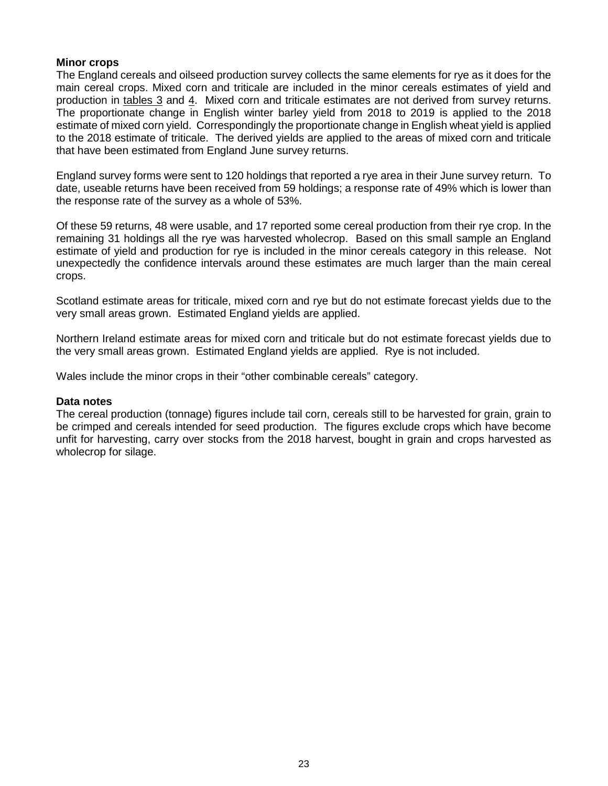#### **Minor crops**

The England cereals and oilseed production survey collects the same elements for rye as it does for the main cereal crops. Mixed corn and triticale are included in the minor cereals estimates of yield and production in [tables 3](#page-10-0) and [4.](#page-10-1) Mixed corn and triticale estimates are not derived from survey returns. The proportionate change in English winter barley yield from 2018 to 2019 is applied to the 2018 estimate of mixed corn yield. Correspondingly the proportionate change in English wheat yield is applied to the 2018 estimate of triticale. The derived yields are applied to the areas of mixed corn and triticale that have been estimated from England June survey returns.

England survey forms were sent to 120 holdings that reported a rye area in their June survey return. To date, useable returns have been received from 59 holdings; a response rate of 49% which is lower than the response rate of the survey as a whole of 53%.

Of these 59 returns, 48 were usable, and 17 reported some cereal production from their rye crop. In the remaining 31 holdings all the rye was harvested wholecrop. Based on this small sample an England estimate of yield and production for rye is included in the minor cereals category in this release. Not unexpectedly the confidence intervals around these estimates are much larger than the main cereal crops.

Scotland estimate areas for triticale, mixed corn and rye but do not estimate forecast yields due to the very small areas grown. Estimated England yields are applied.

Northern Ireland estimate areas for mixed corn and triticale but do not estimate forecast yields due to the very small areas grown. Estimated England yields are applied. Rye is not included.

Wales include the minor crops in their "other combinable cereals" category.

#### **Data notes**

The cereal production (tonnage) figures include tail corn, cereals still to be harvested for grain, grain to be crimped and cereals intended for seed production. The figures exclude crops which have become unfit for harvesting, carry over stocks from the 2018 harvest, bought in grain and crops harvested as wholecrop for silage.